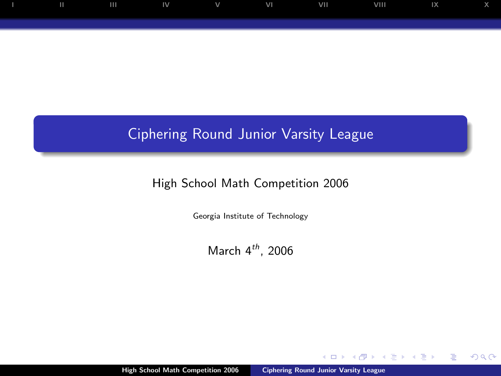## Ciphering Round Junior Varsity League

## High School Math Competition 2006

Georgia Institute of Technology

March  $4^{th}$ , 2006

 $\leftarrow$ 

<span id="page-0-0"></span> $299$ 

œ ∍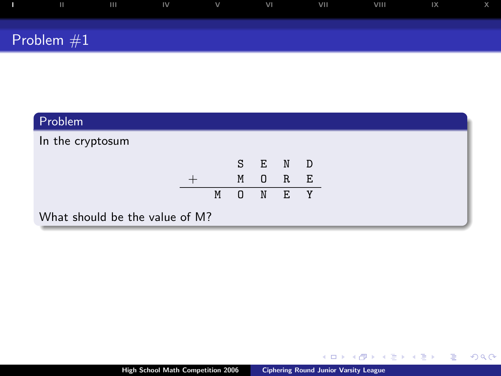|              | $\mathbf{H}$<br>$\mathbb{N}$ | . V | V <sub>1</sub> | VII | VIII | IX |  |
|--------------|------------------------------|-----|----------------|-----|------|----|--|
| Problem $#1$ |                              |     |                |     |      |    |  |

| Problem                        |   |         |  |  |
|--------------------------------|---|---------|--|--|
| In the cryptosum               |   |         |  |  |
|                                |   | S E N D |  |  |
|                                |   | M O R E |  |  |
|                                | M | O N E Y |  |  |
| What should be the value of M? |   |         |  |  |

<span id="page-1-0"></span>K ロ > K 個 > K 差 > K 差 > → 差 → の Q @ .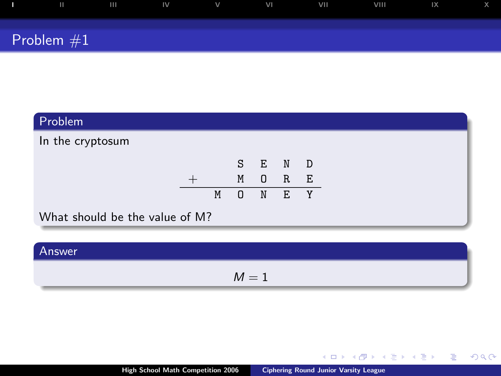|              | $\mathbf{H}$ | <b>IV</b> | $\vee$ | VI | VII | VIII | IX |  |
|--------------|--------------|-----------|--------|----|-----|------|----|--|
| Problem $#1$ |              |           |        |    |     |      |    |  |

| Problem                        |   |          |         |     |  |
|--------------------------------|---|----------|---------|-----|--|
| In the cryptosum               |   |          |         |     |  |
|                                |   |          | S E N D |     |  |
|                                |   | M        | $\Box$  | R E |  |
|                                | M | $\Omega$ | N E Y   |     |  |
| What should be the value of M? |   |          |         |     |  |

| Answer |       |
|--------|-------|
|        | $M=1$ |

K ロ > K 個 > K 差 > K 差 > → 差 → の Q @ .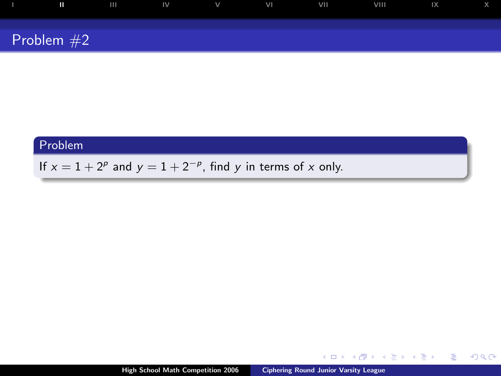| $\mathbf{u}$ | $\mathsf{I} \mathsf{I} \mathsf{I} \mathsf{I} \mathsf{I} \mathsf{I} \mathsf{I} \mathsf{I} \mathsf{I} \mathsf{I} \mathsf{I} \mathsf{I} \mathsf{I} \mathsf{I} \mathsf{I} \mathsf{I} \mathsf{I} \mathsf{I} \mathsf{I} \mathsf{I} \mathsf{I} \mathsf{I} \mathsf{I} \mathsf{I} \mathsf{I} \mathsf{I} \mathsf{I} \mathsf{I} \mathsf{I} \mathsf{I} \mathsf{I} \mathsf{I} \mathsf{I} \mathsf{I} \mathsf{I} \mathsf{I} \mathsf{$ |  | <b>STATE STATE</b> | VIII | $\mathbb{R}$ |  |
|--------------|------------------------------------------------------------------------------------------------------------------------------------------------------------------------------------------------------------------------------------------------------------------------------------------------------------------------------------------------------------------------------------------------------------------------|--|--------------------|------|--------------|--|
|              |                                                                                                                                                                                                                                                                                                                                                                                                                        |  |                    |      |              |  |
| Problem $#2$ |                                                                                                                                                                                                                                                                                                                                                                                                                        |  |                    |      |              |  |

If  $x = 1 + 2^p$  and  $y = 1 + 2^{-p}$ , find y in terms of x only.

 $\leftarrow$   $\Box$ 

 $299$ 

<span id="page-3-0"></span>Þ

 $\rightarrow \equiv$ 

ミッ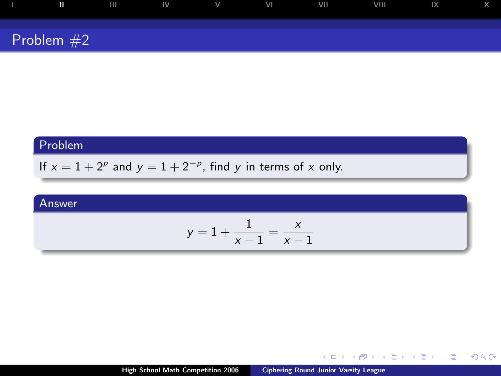| Ш            | $\blacksquare$ | $\mathsf{IV}$ | $\mathsf{V}$ and $\mathsf{V}$ and $\mathsf{V}$ and $\mathsf{V}$ | VI | <b>VIII</b> | VIII | $\mathsf{I} \mathsf{X}$ |  |
|--------------|----------------|---------------|-----------------------------------------------------------------|----|-------------|------|-------------------------|--|
| Problem $#2$ |                |               |                                                                 |    |             |      |                         |  |

If  $x = 1 + 2^p$  and  $y = 1 + 2^{-p}$ , find y in terms of x only.

#### Answer

$$
y=1+\frac{1}{x-1}=\frac{x}{x-1}
$$

 $\leftarrow$   $\Box$ 

ミド メミド

Þ

 $299$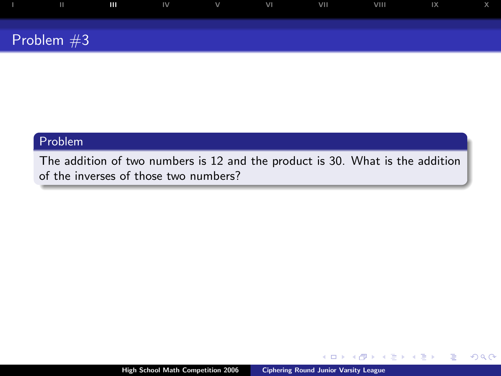

The addition of two numbers is 12 and the product is 30. What is the addition of the inverses of those two numbers?

 $\leftarrow$ 

<span id="page-5-0"></span>Þ

モミト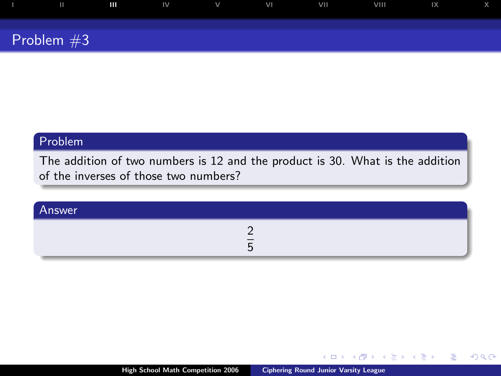| ш            | $\mathbf{m}$ | $\mathsf{IV}$ $\qquad \qquad \mathsf{V}$ | VI | <b>VII</b> | VIII | $\mathsf{I} \mathsf{X}$ |  |
|--------------|--------------|------------------------------------------|----|------------|------|-------------------------|--|
| Problem $#3$ |              |                                          |    |            |      |                         |  |

The addition of two numbers is 12 and the product is 30. What is the addition of the inverses of those two numbers?

| Answer |  |
|--------|--|
|        |  |

 $4.17 \times$ 

 $\leftarrow \equiv$ 

Þ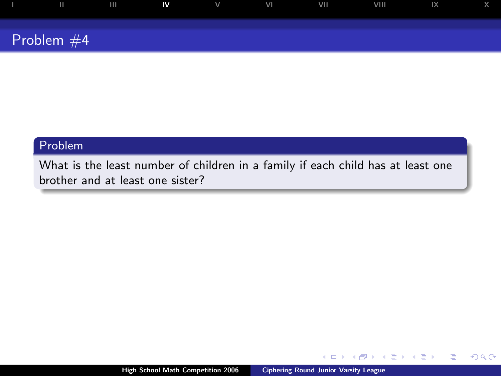|              | $\blacksquare$ | $V$ and $V$ | VI | VII | VIII | $\overline{X}$ |  |
|--------------|----------------|-------------|----|-----|------|----------------|--|
|              |                |             |    |     |      |                |  |
| Problem $#4$ |                |             |    |     |      |                |  |

What is the least number of children in a family if each child has at least one brother and at least one sister?

4日)

 $\leftarrow \Xi \rightarrow$ 

<span id="page-7-0"></span>Þ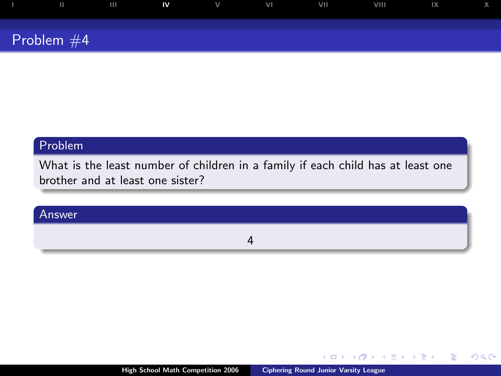| ш            | $\mathbf{N}$ | $V$ and $V$ | VI | VII | VIII | $\mathsf{I} \mathsf{X}$ |  |
|--------------|--------------|-------------|----|-----|------|-------------------------|--|
| Problem $#4$ |              |             |    |     |      |                         |  |

What is the least number of children in a family if each child has at least one brother and at least one sister?

#### Answer

4

 $\leftarrow$   $\Box$ 

 $\rightarrow$   $\Rightarrow$ 

× ∍

G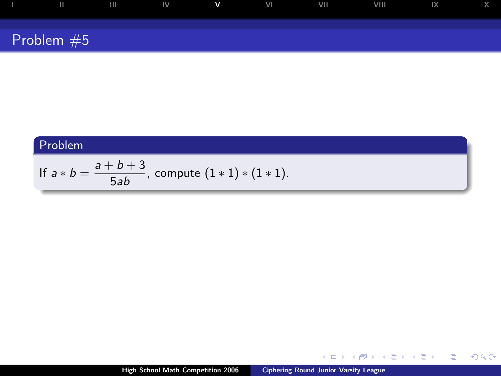| $\mathbf{H}$ | $\overline{\phantom{0}}$ | IV | $\mathbf{v}$ | VI | <b>VIII</b> | VIII | 1X |  |
|--------------|--------------------------|----|--------------|----|-------------|------|----|--|
| Problem $#5$ |                          |    |              |    |             |      |    |  |

If 
$$
a * b = \frac{a+b+3}{5ab}
$$
, compute  $(1 * 1) * (1 * 1)$ .

メロトメ 御 トメ 差 トメ 差 トッ

<span id="page-9-0"></span> $\equiv$  990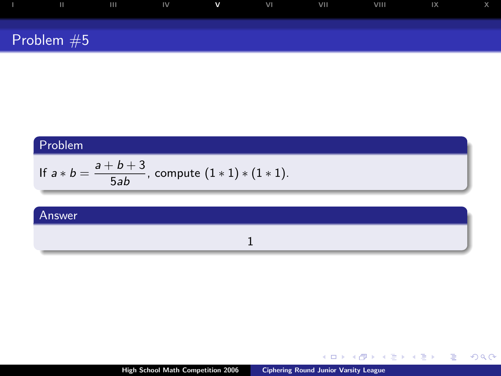| Ш            | $\mathbf{III}$ | $\mathsf{IV}$ | $\mathbf v$ | VI | VII | VIII | 1X |  |
|--------------|----------------|---------------|-------------|----|-----|------|----|--|
| Problem $#5$ |                |               |             |    |     |      |    |  |

If 
$$
a * b = \frac{a+b+3}{5ab}
$$
, compute  $(1 * 1) * (1 * 1)$ .

#### Answer

#### 1

High School Math Competition 2006 [Ciphering Round Junior Varsity League](#page-0-0)

K ロ > K 個 > K 差 > K 差 > → 差 → の Q @ .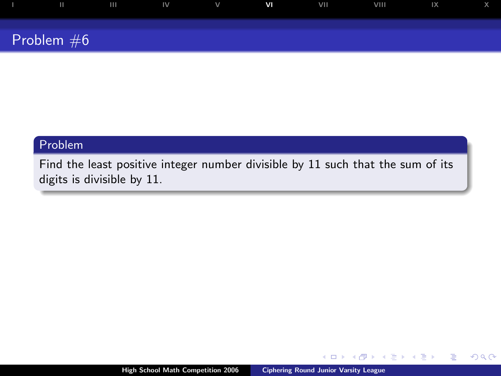| ш            | $\mathbf{III}$ | $\blacksquare$ | $\vee$ | V <sub>1</sub> | VII | VIII | $\overline{X}$ |  |
|--------------|----------------|----------------|--------|----------------|-----|------|----------------|--|
|              |                |                |        |                |     |      |                |  |
| Problem $#6$ |                |                |        |                |     |      |                |  |

Find the least positive integer number divisible by 11 such that the sum of its digits is divisible by 11.

 $\Box$ 

 $2Q$ 

<span id="page-11-0"></span>∍

Þ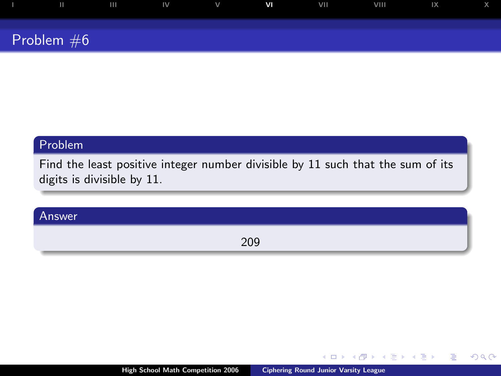| Ш            | . m | $\mathbb{N}$ | $\vee$ | V <sub>1</sub> | VII | VIII. | $\mathsf{I} \mathsf{X}$ |  |
|--------------|-----|--------------|--------|----------------|-----|-------|-------------------------|--|
| Problem $#6$ |     |              |        |                |     |       |                         |  |

Find the least positive integer number divisible by 11 such that the sum of its digits is divisible by 11.

#### Answer

209

 $\leftarrow$ 

 $2Q$ 

œ э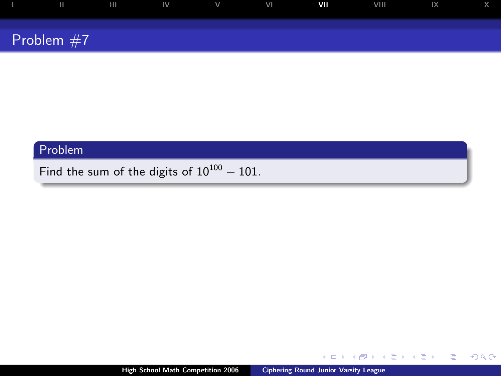| ш            |  | $\mathsf{III}$ $\mathsf{IV}$ $\mathsf{V}$ $\mathsf{V}$ | VII | VIII | $\mathbb{R}$ and $\mathbb{R}$ |  |
|--------------|--|--------------------------------------------------------|-----|------|-------------------------------|--|
|              |  |                                                        |     |      |                               |  |
| Problem $#7$ |  |                                                        |     |      |                               |  |

Find the sum of the digits of  $10^{100} - 101$ .

4日下

- 4 点 下

イヨメ イヨメ

 $299$ 

<span id="page-13-0"></span>Þ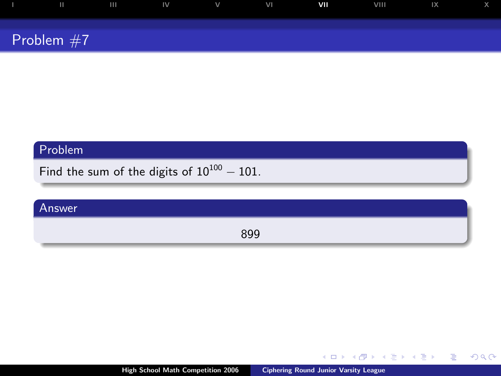| ш            | $\mathbf{III}$ | $\blacksquare$ | $\vee$ | VI | VII | VIII | 1X |  |
|--------------|----------------|----------------|--------|----|-----|------|----|--|
|              |                |                |        |    |     |      |    |  |
| Problem $#7$ |                |                |        |    |     |      |    |  |

Find the sum of the digits of  $10^{100} - 101$ .

# Answer 899

**K ロ ▶ K 伊 ▶** 

医毛囊 医牙骨膜炎

 $2990$ 

G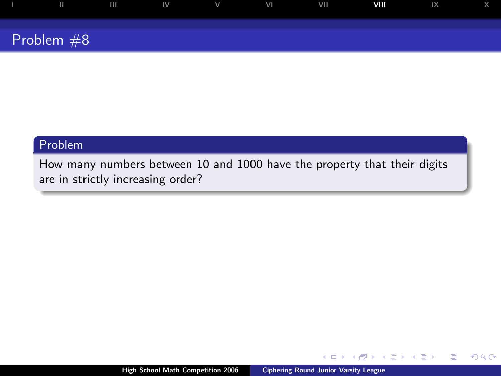| ш            | $\mathbf{H}$ | $\mathsf{IV}$ | $\vee$ | VI | VII | VIII | $\mathsf{I} \mathsf{X}$ |  |
|--------------|--------------|---------------|--------|----|-----|------|-------------------------|--|
|              |              |               |        |    |     |      |                         |  |
| Problem $#8$ |              |               |        |    |     |      |                         |  |

How many numbers between 10 and 1000 have the property that their digits are in strictly increasing order?

 $\Box$ 

 $2Q$ 

<span id="page-15-0"></span>∍

Þ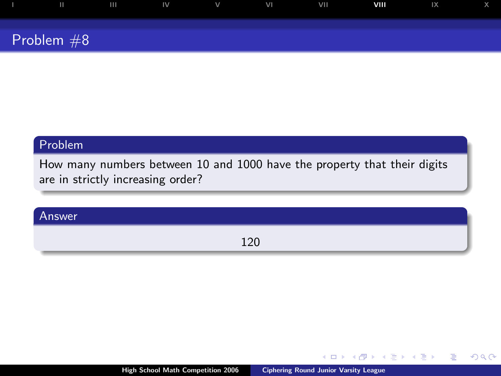| ш            | $\overline{111}$ | $\blacksquare$ | $\vee$ | VI | <b>VII</b> | VIII | 1X |  |
|--------------|------------------|----------------|--------|----|------------|------|----|--|
|              |                  |                |        |    |            |      |    |  |
| Problem $#8$ |                  |                |        |    |            |      |    |  |

How many numbers between 10 and 1000 have the property that their digits are in strictly increasing order?

#### Answer

120

 $\leftarrow$ 

 $2Q$ 

œ э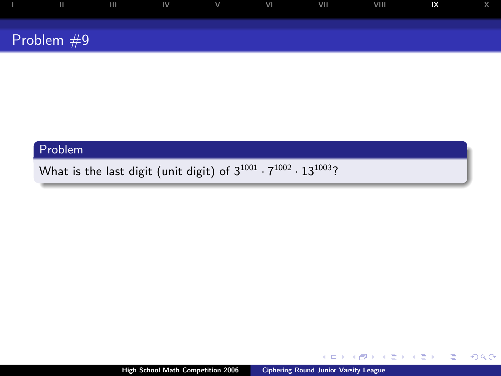| .            | $\mathbf{I}$ $\mathbf{I}$ $\mathbf{I}$ $\mathbf{V}$ $\mathbf{V}$ |  | VI | VII | VIII | IX |  |
|--------------|------------------------------------------------------------------|--|----|-----|------|----|--|
|              |                                                                  |  |    |     |      |    |  |
| Problem $#9$ |                                                                  |  |    |     |      |    |  |

What is the last digit (unit digit) of  $3^{1001} \cdot 7^{1002} \cdot 13^{1003}$ ?

 $\leftarrow$   $\Box$   $\rightarrow$ 

<span id="page-17-0"></span> $2990$ 

G

4 日本 4 日本

 $\mathbf{p}$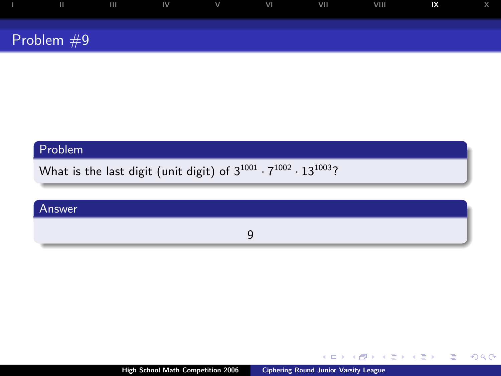| Ш            | . m | $\blacksquare$ | $\vee$ | VI | <b>VII</b> | VIII | $\mathsf{I} \mathsf{X}$ |  |
|--------------|-----|----------------|--------|----|------------|------|-------------------------|--|
| Problem $#9$ |     |                |        |    |            |      |                         |  |

What is the last digit (unit digit) of  $3^{1001} \cdot 7^{1002} \cdot 13^{1003}$ ?

#### Answer

9

 $\leftarrow$   $\Box$   $\rightarrow$ 

 $\leftarrow$  $\sim$  医毛囊 医牙骨膜炎

 $2990$ 

G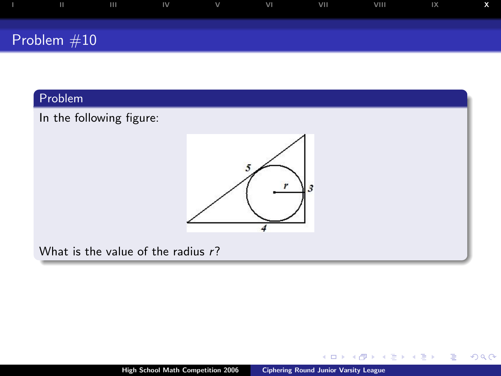

In the following figure:



What is the value of the radius  $r$ ?

 $\leftarrow$   $\Box$ 

 $\leftarrow \equiv$ 

Ξ  $\mathbf{p}$ 

**B** 

Þ

<span id="page-19-0"></span> $299$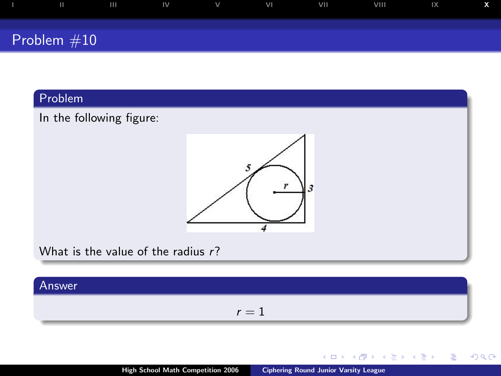

## In the following figure:



What is the value of the radius  $r$ ?

#### Answer

 $r = 1$ 

 $\leftarrow$   $\Box$ 

k. 高 **B** ∢ 重 ≯

 $\rightarrow \equiv$ 

Þ

 $299$